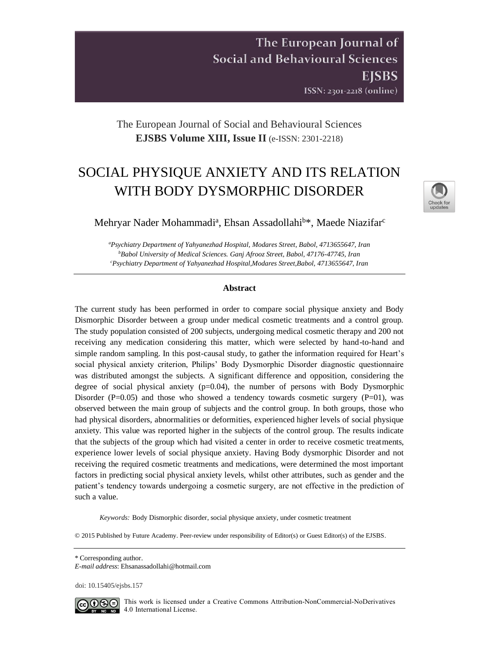The European Journal of **Social and Behavioural Sciences EISBS** ISSN: 2301-2218 (online)

The European Journal of Social and Behavioural Sciences **EJSBS Volume XIII, Issue II** (e-ISSN: 2301-2218)

# SOCIAL PHYSIQUE ANXIETY AND ITS RELATION WITH BODY DYSMORPHIC DISORDER



Mehryar Nader Mohammadi<sup>a</sup>, Ehsan Assadollahi<sup>b\*</sup>, Maede Niazifar<sup>c</sup>

*<sup>a</sup>Psychiatry Department of Yahyanezhad Hospital, Modares Street, Babol, 4713655647, Iran <sup>b</sup>Babol University of Medical Sciences. Ganj Afrooz Street, Babol, 47176-47745, Iran <sup>c</sup>Psychiatry Department of Yahyanezhad Hospital,Modares Street,Babol, 4713655647, Iran*

## **Abstract**

The current study has been performed in order to compare social physique anxiety and Body Dismorphic Disorder between a group under medical cosmetic treatments and a control group. The study population consisted of 200 subjects, undergoing medical cosmetic therapy and 200 not receiving any medication considering this matter, which were selected by hand-to-hand and simple random sampling. In this post-causal study, to gather the information required for Heart's social physical anxiety criterion, Philips' Body Dysmorphic Disorder diagnostic questionnaire was distributed amongst the subjects. A significant difference and opposition, considering the degree of social physical anxiety  $(p=0.04)$ , the number of persons with Body Dysmorphic Disorder (P=0.05) and those who showed a tendency towards cosmetic surgery (P=01), was observed between the main group of subjects and the control group. In both groups, those who had physical disorders, abnormalities or deformities, experienced higher levels of social physique anxiety. This value was reported higher in the subjects of the control group. The results indicate that the subjects of the group which had visited a center in order to receive cosmetic treatments, experience lower levels of social physique anxiety. Having Body dysmorphic Disorder and not receiving the required cosmetic treatments and medications, were determined the most important factors in predicting social physical anxiety levels, whilst other attributes, such as gender and the patient's tendency towards undergoing a cosmetic surgery, are not effective in the prediction of such a value.

*Keywords:* Body Dismorphic disorder, social physique anxiety, under cosmetic treatment

© 2015 Published by Future Academy. Peer-review under responsibility of Editor(s) or Guest Editor(s) of the EJSBS.

doi[: 10.15405/ejsbs.157](https://doi.org/10.15405/ejsbs.157) 



CCO  $\odot$  This work is licensed under a Creative Commons Attribution-NonCommercial-NoDerivatives 4.0 International License.

<sup>\*</sup> Corresponding author.

*E-mail address*: [Ehsanassadollahi@hotmail.com](mailto:Ehsanassadollahi@hotmail.com)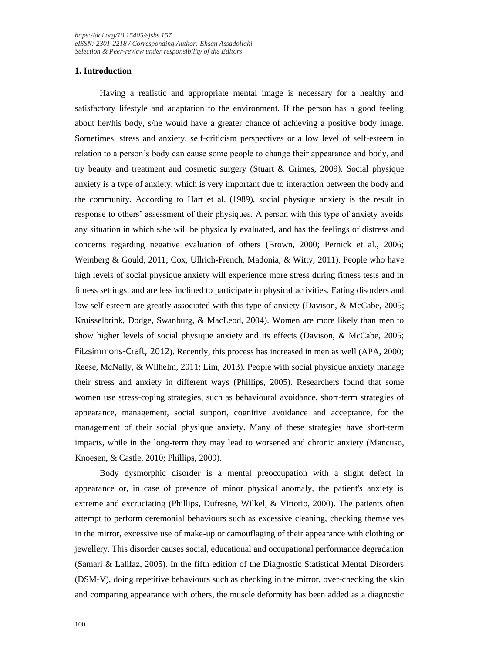# **1. Introduction**

Having a realistic and appropriate mental image is necessary for a healthy and satisfactory lifestyle and adaptation to the environment. If the person has a good feeling about her/his body, s/he would have a greater chance of achieving a positive body image. Sometimes, stress and anxiety, self-criticism perspectives or a low level of self-esteem in relation to a person's body can cause some people to change their appearance and body, and try beauty and treatment and cosmetic surgery (Stuart & Grimes, 2009). Social physique anxiety is a type of anxiety, which is very important due to interaction between the body and the community. According to Hart et al. (1989), social physique anxiety is the result in response to others' assessment of their physiques. A person with this type of anxiety avoids any situation in which s/he will be physically evaluated, and has the feelings of distress and concerns regarding negative evaluation of others (Brown, 2000; Pernick et al., 2006; Weinberg & Gould, 2011; Cox, Ullrich-French, Madonia, & Witty, 2011). People who have high levels of social physique anxiety will experience more stress during fitness tests and in fitness settings, and are less inclined to participate in physical activities. Eating disorders and low self-esteem are greatly associated with this type of anxiety (Davison, & McCabe, 2005; Kruisselbrink, Dodge, Swanburg, & MacLeod, 2004). Women are more likely than men to show higher levels of social physique anxiety and its effects (Davison, & McCabe, 2005; Fitzsimmons-Craft, 2012). Recently, this process has increased in men as well (APA, 2000; Reese, McNally, & Wilhelm, 2011; Lim, 2013). People with social physique anxiety manage their stress and anxiety in different ways (Phillips, 2005). Researchers found that some women use stress-coping strategies, such as behavioural avoidance, short-term strategies of appearance, management, social support, cognitive avoidance and acceptance, for the management of their social physique anxiety. Many of these strategies have short-term impacts, while in the long-term they may lead to worsened and chronic anxiety (Mancuso, Knoesen, & Castle, 2010; Phillips, 2009).

Body dysmorphic disorder is a mental preoccupation with a slight defect in appearance or, in case of presence of minor physical anomaly, the patient's anxiety is extreme and excruciating (Phillips, Dufresne, Wilkel, & Vittorio, 2000). The patients often attempt to perform ceremonial behaviours such as excessive cleaning, checking themselves in the mirror, excessive use of make-up or camouflaging of their appearance with clothing or jewellery. This disorder causes social, educational and occupational performance degradation (Samari & Lalifaz, 2005). In the fifth edition of the Diagnostic Statistical Mental Disorders (DSM-V), doing repetitive behaviours such as checking in the mirror, over-checking the skin and comparing appearance with others, the muscle deformity has been added as a diagnostic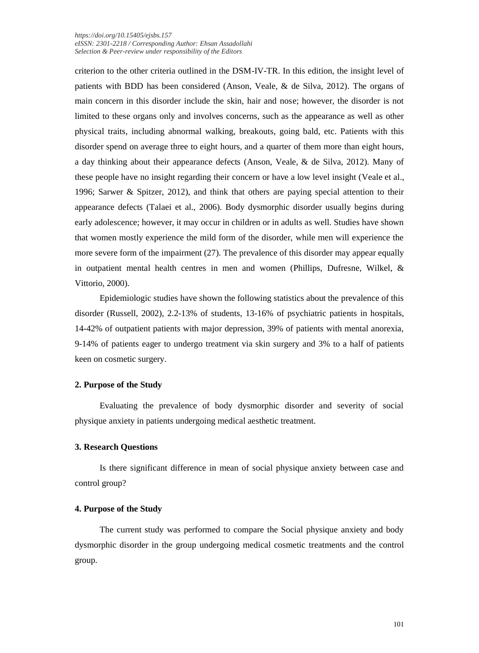criterion to the other criteria outlined in the DSM-IV-TR. In this edition, the insight level of patients with BDD has been considered (Anson, Veale, & de Silva, 2012). The organs of main concern in this disorder include the skin, hair and nose; however, the disorder is not limited to these organs only and involves concerns, such as the appearance as well as other physical traits, including abnormal walking, breakouts, going bald, etc. Patients with this disorder spend on average three to eight hours, and a quarter of them more than eight hours, a day thinking about their appearance defects (Anson, Veale, & de Silva, 2012). Many of these people have no insight regarding their concern or have a low level insight (Veale et al., 1996; Sarwer & Spitzer, 2012), and think that others are paying special attention to their appearance defects (Talaei et al., 2006). Body dysmorphic disorder usually begins during early adolescence; however, it may occur in children or in adults as well. Studies have shown that women mostly experience the mild form of the disorder, while men will experience the more severe form of the impairment (27). The prevalence of this disorder may appear equally in outpatient mental health centres in men and women (Phillips, Dufresne, Wilkel, & Vittorio, 2000).

Epidemiologic studies have shown the following statistics about the prevalence of this disorder (Russell, 2002), 2.2-13% of students, 13-16% of psychiatric patients in hospitals, 14-42% of outpatient patients with major depression, 39% of patients with mental anorexia, 9-14% of patients eager to undergo treatment via skin surgery and 3% to a half of patients keen on cosmetic surgery.

# **2. Purpose of the Study**

Evaluating the prevalence of body dysmorphic disorder and severity of social physique anxiety in patients undergoing medical aesthetic treatment.

## **3. Research Questions**

Is there significant difference in mean of social physique anxiety between case and control group?

## **4. Purpose of the Study**

The current study was performed to compare the Social physique anxiety and body dysmorphic disorder in the group undergoing medical cosmetic treatments and the control group.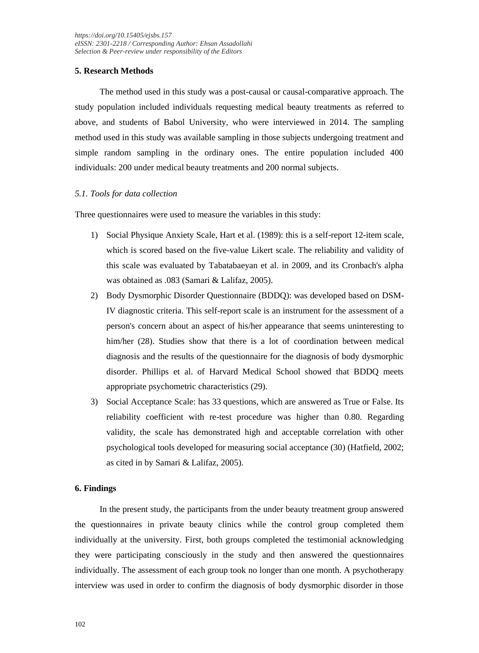# **5. Research Methods**

The method used in this study was a post-causal or causal-comparative approach. The study population included individuals requesting medical beauty treatments as referred to above, and students of Babol University, who were interviewed in 2014. The sampling method used in this study was available sampling in those subjects undergoing treatment and simple random sampling in the ordinary ones. The entire population included 400 individuals: 200 under medical beauty treatments and 200 normal subjects.

# *5.1. Tools for data collection*

Three questionnaires were used to measure the variables in this study:

- 1) Social Physique Anxiety Scale, Hart et al. (1989): this is a self-report 12-item scale, which is scored based on the five-value Likert scale. The reliability and validity of this scale was evaluated by Tabatabaeyan et al. in 2009, and its Cronbach's alpha was obtained as .083 (Samari & Lalifaz, 2005).
- 2) Body Dysmorphic Disorder Questionnaire (BDDQ): was developed based on DSM-IV diagnostic criteria. This self-report scale is an instrument for the assessment of a person's concern about an aspect of his/her appearance that seems uninteresting to him/her (28). Studies show that there is a lot of coordination between medical diagnosis and the results of the questionnaire for the diagnosis of body dysmorphic disorder. Phillips et al. of Harvard Medical School showed that BDDQ meets appropriate psychometric characteristics (29).
- 3) Social Acceptance Scale: has 33 questions, which are answered as True or False. Its reliability coefficient with re-test procedure was higher than 0.80. Regarding validity, the scale has demonstrated high and acceptable correlation with other psychological tools developed for measuring social acceptance (30) (Hatfield, 2002; as cited in by Samari & Lalifaz, 2005).

## **6. Findings**

In the present study, the participants from the under beauty treatment group answered the questionnaires in private beauty clinics while the control group completed them individually at the university. First, both groups completed the testimonial acknowledging they were participating consciously in the study and then answered the questionnaires individually. The assessment of each group took no longer than one month. A psychotherapy interview was used in order to confirm the diagnosis of body dysmorphic disorder in those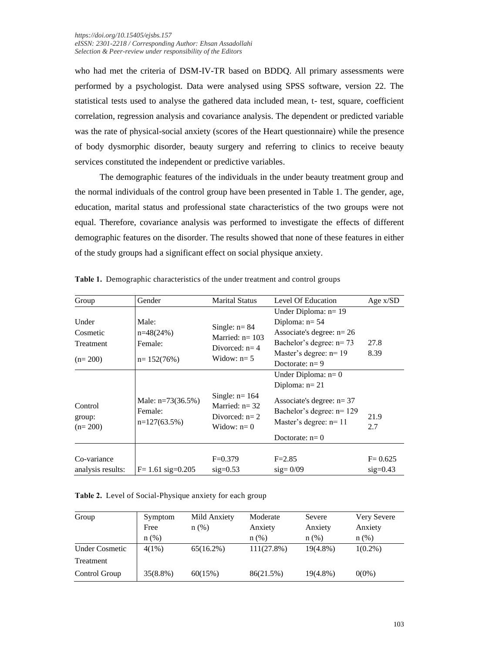who had met the criteria of DSM-IV-TR based on BDDQ. All primary assessments were performed by a psychologist. Data were analysed using SPSS software, version 22. The statistical tests used to analyse the gathered data included mean, t- test, square, coefficient correlation, regression analysis and covariance analysis. The dependent or predicted variable was the rate of physical-social anxiety (scores of the Heart questionnaire) while the presence of body dysmorphic disorder, beauty surgery and referring to clinics to receive beauty services constituted the independent or predictive variables.

The demographic features of the individuals in the under beauty treatment group and the normal individuals of the control group have been presented in Table 1. The gender, age, education, marital status and professional state characteristics of the two groups were not equal. Therefore, covariance analysis was performed to investigate the effects of different demographic features on the disorder. The results showed that none of these features in either of the study groups had a significant effect on social physique anxiety.

| Group                                       | Gender                                            | <b>Marital Status</b>                                                     | Level Of Education                                                                                                                                 | Age x/SD                  |
|---------------------------------------------|---------------------------------------------------|---------------------------------------------------------------------------|----------------------------------------------------------------------------------------------------------------------------------------------------|---------------------------|
| Under<br>Cosmetic<br>Treatment<br>$(n=200)$ | Male:<br>$n=48(24%)$<br>Female:<br>$n = 152(76%)$ | Single: $n = 84$<br>Married: $n = 103$<br>Divorced: $n=4$<br>Widow: $n=5$ | Under Diploma: $n=19$<br>Diploma: $n=54$<br>Associate's degree: $n=26$<br>Bachelor's degree: $n=73$<br>Master's degree: $n=19$<br>Doctorate: $n=9$ | 27.8<br>8.39              |
| Control<br>group:<br>$(n=200)$              | Male: $n=73(36.5%)$<br>Female:<br>$n=127(63.5%)$  | Single: $n=164$<br>Married: $n = 32$<br>Divorced: $n=2$<br>Widow: $n=0$   | Under Diploma: $n=0$<br>Diploma: $n=21$<br>Associate's degree: $n=37$<br>Bachelor's degree: $n=129$<br>Master's degree: $n=11$<br>Doctorate: $n=0$ | 21.9<br>2.7               |
| Co-variance<br>analysis results:            | $F = 1.61$ sig=0.205                              | $F=0.379$<br>$sig=0.53$                                                   | $F = 2.85$<br>$sig = 0/09$                                                                                                                         | $F = 0.625$<br>$sig=0.43$ |

**Table 1.** Demographic characteristics of the under treatment and control groups

**Table 2.** Level of Social-Physique anxiety for each group

| Group                 | Symptom<br>Free<br>$n(\%)$ | Mild Anxiety<br>$n$ (%) | Moderate<br>Anxiety<br>$n$ (%) | Severe<br>Anxiety<br>$n$ (%) | Very Severe<br>Anxiety<br>$n$ (%) |
|-----------------------|----------------------------|-------------------------|--------------------------------|------------------------------|-----------------------------------|
| <b>Under Cosmetic</b> | $4(1\%)$                   | $65(16.2\%)$            | $111(27.8\%)$                  | $19(4.8\%)$                  | $1(0.2\%)$                        |
| Treatment             |                            |                         |                                |                              |                                   |
| Control Group         | $35(8.8\%)$                | 60(15%)                 | 86(21.5%)                      | $19(4.8\%)$                  | $0(0\%)$                          |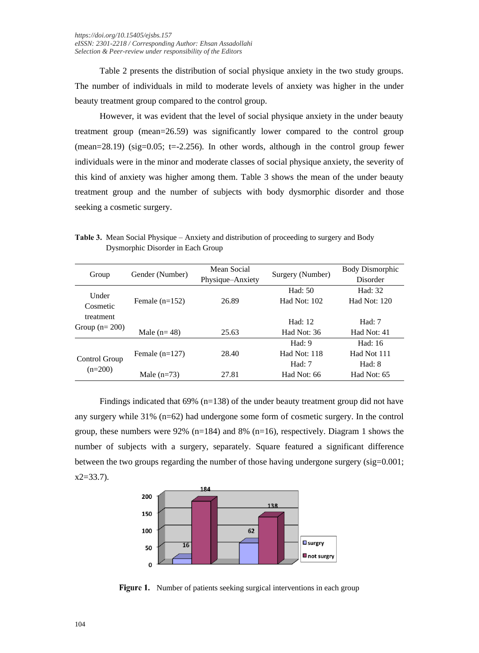Table 2 presents the distribution of social physique anxiety in the two study groups. The number of individuals in mild to moderate levels of anxiety was higher in the under beauty treatment group compared to the control group.

However, it was evident that the level of social physique anxiety in the under beauty treatment group (mean=26.59) was significantly lower compared to the control group  $(mean=28.19)$  (sig=0.05; t=-2.256). In other words, although in the control group fewer individuals were in the minor and moderate classes of social physique anxiety, the severity of this kind of anxiety was higher among them. Table 3 shows the mean of the under beauty treatment group and the number of subjects with body dysmorphic disorder and those seeking a cosmetic surgery.

Group Gender (Number) Mean Social<br>Physique–Anxiety Surgery (Number) Body Dismorphic Disorder Under Cosmetic treatment Group  $(n=200)$ Female (n=152) Male  $(n= 48)$ 26.89 25.63 Had: 50 Had Not: 102 Had: 12 Had Not: 36 Had: 32 Had Not: 120 Had: 7 Had Not: 41 Control Group Female (n=127) 28.40 Had: 9 Had Not: 118 Had: 16 Had Not 111 Had: 7 Had: 8

Male (n=73) 27.81

**Table 3.** Mean Social Physique – Anxiety and distribution of proceeding to surgery and Body Dysmorphic Disorder in Each Group

Findings indicated that 69% (n=138) of the under beauty treatment group did not have any surgery while 31% (n=62) had undergone some form of cosmetic surgery. In the control group, these numbers were 92% (n=184) and 8% (n=16), respectively. Diagram 1 shows the number of subjects with a surgery, separately. Square featured a significant difference between the two groups regarding the number of those having undergone surgery ( $\text{sig}=0.001$ ;  $x2=33.7$ ).

Had Not: 66

Had Not: 65



Figure 1. Number of patients seeking surgical interventions in each group

 $(n=200)$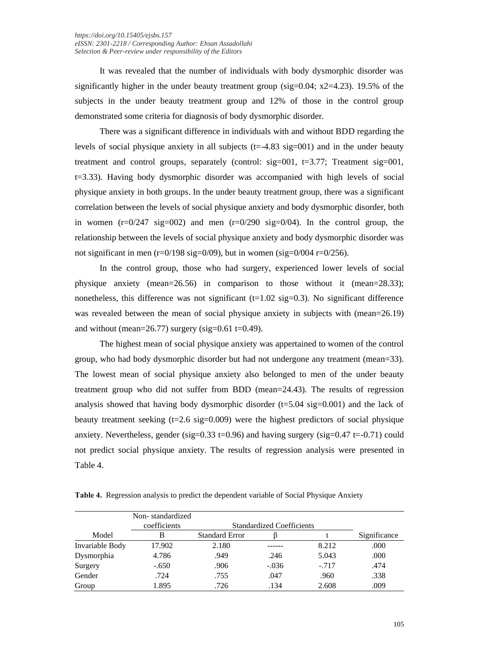It was revealed that the number of individuals with body dysmorphic disorder was significantly higher in the under beauty treatment group (sig= $0.04$ ; x2=4.23). 19.5% of the subjects in the under beauty treatment group and 12% of those in the control group demonstrated some criteria for diagnosis of body dysmorphic disorder.

There was a significant difference in individuals with and without BDD regarding the levels of social physique anxiety in all subjects  $(t=-4.83 \text{ sig}=001)$  and in the under beauty treatment and control groups, separately (control:  $sig=001$ ,  $t=3.77$ ; Treatment  $sig=001$ , t=3.33). Having body dysmorphic disorder was accompanied with high levels of social physique anxiety in both groups. In the under beauty treatment group, there was a significant correlation between the levels of social physique anxiety and body dysmorphic disorder, both in women  $(r=0/247 \text{ sig}=002)$  and men  $(r=0/290 \text{ sig}=0/04)$ . In the control group, the relationship between the levels of social physique anxiety and body dysmorphic disorder was not significant in men ( $r=0/198$  sig=0/09), but in women (sig=0/004  $r=0/256$ ).

In the control group, those who had surgery, experienced lower levels of social physique anxiety (mean=26.56) in comparison to those without it (mean=28.33); nonetheless, this difference was not significant  $(t=1.02 \text{ sig}=0.3)$ . No significant difference was revealed between the mean of social physique anxiety in subjects with (mean=26.19) and without (mean= $26.77$ ) surgery (sig= $0.61$  t= $0.49$ ).

The highest mean of social physique anxiety was appertained to women of the control group, who had body dysmorphic disorder but had not undergone any treatment (mean=33). The lowest mean of social physique anxiety also belonged to men of the under beauty treatment group who did not suffer from BDD (mean=24.43). The results of regression analysis showed that having body dysmorphic disorder  $(t=5.04 \text{ sig}=0.001)$  and the lack of beauty treatment seeking  $(t=2.6 \text{ sig}=0.009)$  were the highest predictors of social physique anxiety. Nevertheless, gender (sig=0.33 t=0.96) and having surgery (sig=0.47 t=-0.71) could not predict social physique anxiety. The results of regression analysis were presented in Table 4.

**Table 4.** Regression analysis to predict the dependent variable of Social Physique Anxiety

|                 | Non-standardized<br>coefficients |                       | <b>Standardized Coefficients</b> |        |              |  |
|-----------------|----------------------------------|-----------------------|----------------------------------|--------|--------------|--|
| Model           | В                                | <b>Standard Error</b> |                                  |        | Significance |  |
| Invariable Body | 17.902                           | 2.180                 |                                  | 8.212  | .000         |  |
| Dysmorphia      | 4.786                            | .949                  | .246                             | 5.043  | .000         |  |
| Surgery         | $-.650$                          | .906                  | $-.036$                          | $-717$ | .474         |  |
| Gender          | .724                             | .755                  | .047                             | .960   | .338         |  |
| Group           | 1.895                            | .726                  | .134                             | 2.608  | .009         |  |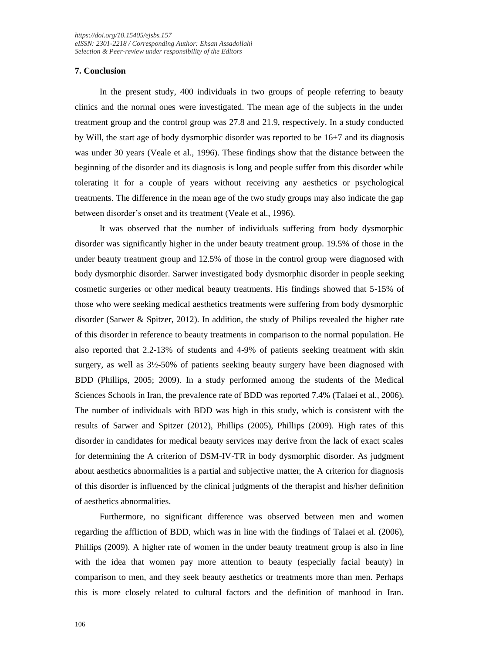## **7. Conclusion**

In the present study, 400 individuals in two groups of people referring to beauty clinics and the normal ones were investigated. The mean age of the subjects in the under treatment group and the control group was 27.8 and 21.9, respectively. In a study conducted by Will, the start age of body dysmorphic disorder was reported to be  $16\pm7$  and its diagnosis was under 30 years (Veale et al., 1996). These findings show that the distance between the beginning of the disorder and its diagnosis is long and people suffer from this disorder while tolerating it for a couple of years without receiving any aesthetics or psychological treatments. The difference in the mean age of the two study groups may also indicate the gap between disorder's onset and its treatment (Veale et al., 1996).

It was observed that the number of individuals suffering from body dysmorphic disorder was significantly higher in the under beauty treatment group. 19.5% of those in the under beauty treatment group and 12.5% of those in the control group were diagnosed with body dysmorphic disorder. Sarwer investigated body dysmorphic disorder in people seeking cosmetic surgeries or other medical beauty treatments. His findings showed that 5-15% of those who were seeking medical aesthetics treatments were suffering from body dysmorphic disorder (Sarwer & Spitzer, 2012). In addition, the study of Philips revealed the higher rate of this disorder in reference to beauty treatments in comparison to the normal population. He also reported that 2.2-13% of students and 4-9% of patients seeking treatment with skin surgery, as well as  $3\frac{1}{2}$ -50% of patients seeking beauty surgery have been diagnosed with BDD (Phillips, 2005; 2009). In a study performed among the students of the Medical Sciences Schools in Iran, the prevalence rate of BDD was reported 7.4% (Talaei et al., 2006). The number of individuals with BDD was high in this study, which is consistent with the results of Sarwer and Spitzer (2012), Phillips (2005), Phillips (2009). High rates of this disorder in candidates for medical beauty services may derive from the lack of exact scales for determining the A criterion of DSM-IV-TR in body dysmorphic disorder. As judgment about aesthetics abnormalities is a partial and subjective matter, the A criterion for diagnosis of this disorder is influenced by the clinical judgments of the therapist and his/her definition of aesthetics abnormalities.

Furthermore, no significant difference was observed between men and women regarding the affliction of BDD, which was in line with the findings of Talaei et al. (2006), Phillips (2009). A higher rate of women in the under beauty treatment group is also in line with the idea that women pay more attention to beauty (especially facial beauty) in comparison to men, and they seek beauty aesthetics or treatments more than men. Perhaps this is more closely related to cultural factors and the definition of manhood in Iran.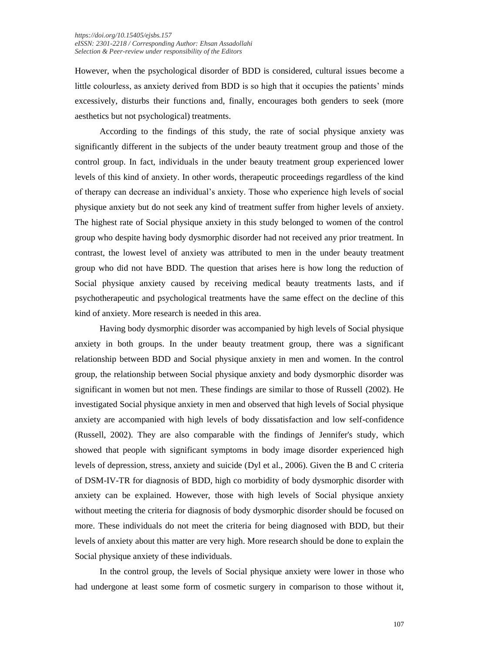However, when the psychological disorder of BDD is considered, cultural issues become a little colourless, as anxiety derived from BDD is so high that it occupies the patients' minds excessively, disturbs their functions and, finally, encourages both genders to seek (more aesthetics but not psychological) treatments.

According to the findings of this study, the rate of social physique anxiety was significantly different in the subjects of the under beauty treatment group and those of the control group. In fact, individuals in the under beauty treatment group experienced lower levels of this kind of anxiety. In other words, therapeutic proceedings regardless of the kind of therapy can decrease an individual's anxiety. Those who experience high levels of social physique anxiety but do not seek any kind of treatment suffer from higher levels of anxiety. The highest rate of Social physique anxiety in this study belonged to women of the control group who despite having body dysmorphic disorder had not received any prior treatment. In contrast, the lowest level of anxiety was attributed to men in the under beauty treatment group who did not have BDD. The question that arises here is how long the reduction of Social physique anxiety caused by receiving medical beauty treatments lasts, and if psychotherapeutic and psychological treatments have the same effect on the decline of this kind of anxiety. More research is needed in this area.

Having body dysmorphic disorder was accompanied by high levels of Social physique anxiety in both groups. In the under beauty treatment group, there was a significant relationship between BDD and Social physique anxiety in men and women. In the control group, the relationship between Social physique anxiety and body dysmorphic disorder was significant in women but not men. These findings are similar to those of Russell (2002). He investigated Social physique anxiety in men and observed that high levels of Social physique anxiety are accompanied with high levels of body dissatisfaction and low self-confidence (Russell, 2002). They are also comparable with the findings of Jennifer's study, which showed that people with significant symptoms in body image disorder experienced high levels of depression, stress, anxiety and suicide (Dyl et al., 2006). Given the B and C criteria of DSM-IV-TR for diagnosis of BDD, high co morbidity of body dysmorphic disorder with anxiety can be explained. However, those with high levels of Social physique anxiety without meeting the criteria for diagnosis of body dysmorphic disorder should be focused on more. These individuals do not meet the criteria for being diagnosed with BDD, but their levels of anxiety about this matter are very high. More research should be done to explain the Social physique anxiety of these individuals.

In the control group, the levels of Social physique anxiety were lower in those who had undergone at least some form of cosmetic surgery in comparison to those without it,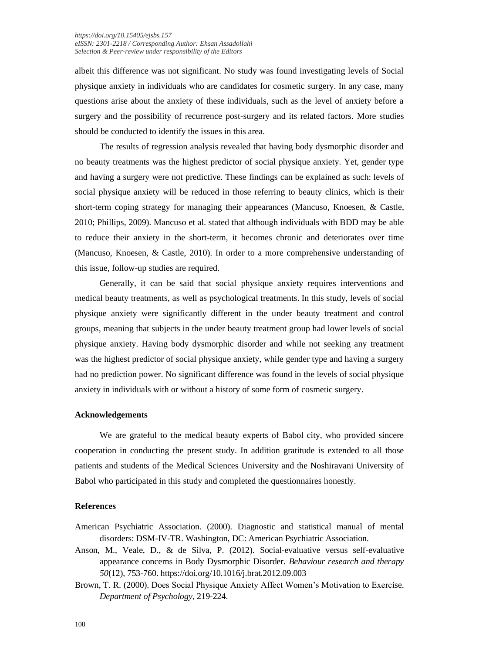albeit this difference was not significant. No study was found investigating levels of Social physique anxiety in individuals who are candidates for cosmetic surgery. In any case, many questions arise about the anxiety of these individuals, such as the level of anxiety before a surgery and the possibility of recurrence post-surgery and its related factors. More studies should be conducted to identify the issues in this area.

The results of regression analysis revealed that having body dysmorphic disorder and no beauty treatments was the highest predictor of social physique anxiety. Yet, gender type and having a surgery were not predictive. These findings can be explained as such: levels of social physique anxiety will be reduced in those referring to beauty clinics, which is their short-term coping strategy for managing their appearances (Mancuso, Knoesen, & Castle, 2010; Phillips, 2009). Mancuso et al. stated that although individuals with BDD may be able to reduce their anxiety in the short-term, it becomes chronic and deteriorates over time (Mancuso, Knoesen, & Castle, 2010). In order to a more comprehensive understanding of this issue, follow-up studies are required.

Generally, it can be said that social physique anxiety requires interventions and medical beauty treatments, as well as psychological treatments. In this study, levels of social physique anxiety were significantly different in the under beauty treatment and control groups, meaning that subjects in the under beauty treatment group had lower levels of social physique anxiety. Having body dysmorphic disorder and while not seeking any treatment was the highest predictor of social physique anxiety, while gender type and having a surgery had no prediction power. No significant difference was found in the levels of social physique anxiety in individuals with or without a history of some form of cosmetic surgery.

## **Acknowledgements**

We are grateful to the medical beauty experts of Babol city, who provided sincere cooperation in conducting the present study. In addition gratitude is extended to all those patients and students of the Medical Sciences University and the Noshiravani University of Babol who participated in this study and completed the questionnaires honestly.

#### **References**

- American Psychiatric Association. (2000). Diagnostic and statistical manual of mental disorders: DSM-IV-TR. Washington, DC: American Psychiatric Association.
- Anson, M., Veale, D., & de Silva, P. (2012). Social-evaluative versus self-evaluative appearance concerns in Body Dysmorphic Disorder. *Behaviour research and therapy 50*(12), 753-760. https://doi.org/10.1016/j.brat.2012.09.003
- Brown, T. R. (2000). Does Social Physique Anxiety Affect Women's Motivation to Exercise. *Department of Psychology*, 219-224.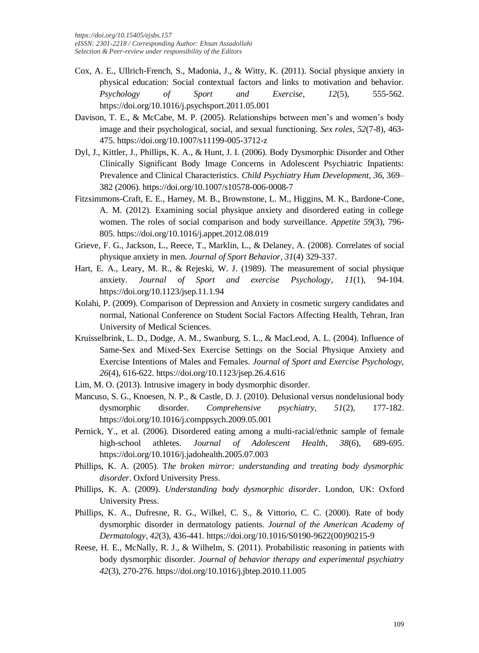- Cox, A. E., Ullrich-French, S., Madonia, J., & Witty, K. (2011). Social physique anxiety in physical education: Social contextual factors and links to motivation and behavior. *Psychology of Sport and Exercise, 12*(5), 555-562. https://doi.org/10.1016/j.psychsport.2011.05.001
- Davison, T. E., & McCabe, M. P. (2005). Relationships between men's and women's body image and their psychological, social, and sexual functioning. *Sex roles, 52*(7-8), 463- 475. https://doi.org/10.1007/s11199-005-3712-z
- Dyl, J., Kittler, J., Phillips, K. A., & Hunt, J. I. (2006). Body Dysmorphic Disorder and Other Clinically Significant Body Image Concerns in Adolescent Psychiatric Inpatients: Prevalence and Clinical Characteristics. *Child Psychiatry Hum Development, 36*, 369– 382 (2006). https://doi.org/10.1007/s10578-006-0008-7
- Fitzsimmons-Craft, E. E., Harney, M. B., Brownstone, L. M., Higgins, M. K., Bardone-Cone, A. M. (2012). Examining social physique anxiety and disordered eating in college women. The roles of social comparison and body surveillance. *Appetite 59*(3), 796- 805. https://doi.org/10.1016/j.appet.2012.08.019
- Grieve, F. G., Jackson, L., Reece, T., Marklin, L., & Delaney, A. (2008). Correlates of social physique anxiety in men. *Journal of Sport Behavior, 31*(4) 329-337.
- Hart, E. A., Leary, M. R., & Rejeski, W. J. (1989). The measurement of social physique anxiety. *Journal of Sport and exercise Psychology, 11*(1), 94-104. https://doi.org/10.1123/jsep.11.1.94
- Kolahi, P. (2009). Comparison of Depression and Anxiety in cosmetic surgery candidates and normal, National Conference on Student Social Factors Affecting Health, Tehran, Iran University of Medical Sciences.
- Kruisselbrink, L. D., Dodge, A. M., Swanburg, S. L., & MacLeod, A. L. (2004). Influence of Same-Sex and Mixed-Sex Exercise Settings on the Social Physique Anxiety and Exercise Intentions of Males and Females. *Journal of Sport and Exercise Psychology, 26*(4), 616-622[. https://doi.org/10.1123/jsep.26.4.616](https://doi.org/10.1123/jsep.26.4.616)
- Lim, M. O. (2013). Intrusive imagery in body dysmorphic disorder.
- Mancuso, S. G., Knoesen, N. P., & Castle, D. J. (2010). Delusional versus nondelusional body dysmorphic disorder. *Comprehensive psychiatry*, *51*(2), 177-182. https://doi.org/10.1016/j.comppsych.2009.05.001
- Pernick, Y., et al. (2006). Disordered eating among a multi-racial/ethnic sample of female high-school athletes. *Journal of Adolescent Health, 38*(6), 689-695. https://doi.org/10.1016/j.jadohealth.2005.07.003
- Phillips, K. A. (2005). T*he broken mirror: understanding and treating body dysmorphic disorder*. Oxford University Press.
- Phillips, K. A. (2009). *Understanding body dysmorphic disorder*. London, UK: Oxford University Press.
- Phillips, K. A., Dufresne, R. G., Wilkel, C. S., & Vittorio, C. C. (2000). Rate of body dysmorphic disorder in dermatology patients. *Journal of the American Academy of Dermatology, 42*(3), 436-441. https://doi.org/10.1016/S0190-9622(00)90215-9
- Reese, H. E., McNally, R. J., & Wilhelm, S. (2011). Probabilistic reasoning in patients with body dysmorphic disorder. *Journal of behavior therapy and experimental psychiatry 42*(3), 270-276. https://doi.org/10.1016/j.jbtep.2010.11.005